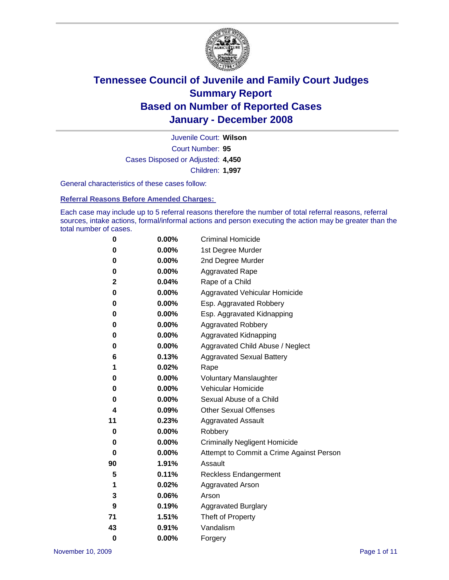

Court Number: **95** Juvenile Court: **Wilson** Cases Disposed or Adjusted: **4,450** Children: **1,997**

General characteristics of these cases follow:

**Referral Reasons Before Amended Charges:** 

Each case may include up to 5 referral reasons therefore the number of total referral reasons, referral sources, intake actions, formal/informal actions and person executing the action may be greater than the total number of cases.

| 0        | 0.00% | <b>Criminal Homicide</b>                 |
|----------|-------|------------------------------------------|
| 0        | 0.00% | 1st Degree Murder                        |
| 0        | 0.00% | 2nd Degree Murder                        |
| 0        | 0.00% | <b>Aggravated Rape</b>                   |
| 2        | 0.04% | Rape of a Child                          |
| 0        | 0.00% | Aggravated Vehicular Homicide            |
| 0        | 0.00% | Esp. Aggravated Robbery                  |
| 0        | 0.00% | Esp. Aggravated Kidnapping               |
| 0        | 0.00% | <b>Aggravated Robbery</b>                |
| 0        | 0.00% | Aggravated Kidnapping                    |
| 0        | 0.00% | Aggravated Child Abuse / Neglect         |
| 6        | 0.13% | <b>Aggravated Sexual Battery</b>         |
| 1        | 0.02% | Rape                                     |
| 0        | 0.00% | <b>Voluntary Manslaughter</b>            |
| 0        | 0.00% | Vehicular Homicide                       |
| 0        | 0.00% | Sexual Abuse of a Child                  |
| 4        | 0.09% | <b>Other Sexual Offenses</b>             |
| 11       | 0.23% | <b>Aggravated Assault</b>                |
| 0        | 0.00% | Robbery                                  |
| 0        | 0.00% | <b>Criminally Negligent Homicide</b>     |
| 0        | 0.00% | Attempt to Commit a Crime Against Person |
| 90       | 1.91% | Assault                                  |
| 5        | 0.11% | <b>Reckless Endangerment</b>             |
| 1        | 0.02% | <b>Aggravated Arson</b>                  |
| 3        | 0.06% | Arson                                    |
| 9        | 0.19% | <b>Aggravated Burglary</b>               |
| 71       | 1.51% | Theft of Property                        |
| 43       | 0.91% | Vandalism                                |
| $\bf{0}$ | 0.00% | Forgery                                  |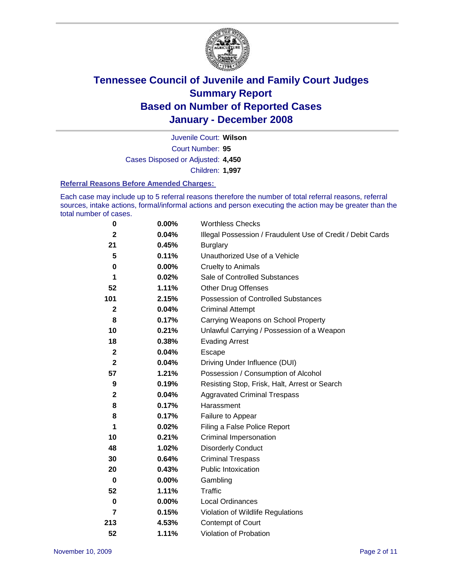

Court Number: **95** Juvenile Court: **Wilson** Cases Disposed or Adjusted: **4,450** Children: **1,997**

#### **Referral Reasons Before Amended Charges:**

Each case may include up to 5 referral reasons therefore the number of total referral reasons, referral sources, intake actions, formal/informal actions and person executing the action may be greater than the total number of cases.

| $\pmb{0}$               | 0.00%    | <b>Worthless Checks</b>                                     |
|-------------------------|----------|-------------------------------------------------------------|
| $\mathbf{2}$            | 0.04%    | Illegal Possession / Fraudulent Use of Credit / Debit Cards |
| 21                      | 0.45%    | <b>Burglary</b>                                             |
| 5                       | 0.11%    | Unauthorized Use of a Vehicle                               |
| 0                       | $0.00\%$ | <b>Cruelty to Animals</b>                                   |
| 1                       | 0.02%    | Sale of Controlled Substances                               |
| 52                      | 1.11%    | <b>Other Drug Offenses</b>                                  |
| 101                     | 2.15%    | Possession of Controlled Substances                         |
| $\mathbf 2$             | 0.04%    | <b>Criminal Attempt</b>                                     |
| 8                       | 0.17%    | Carrying Weapons on School Property                         |
| 10                      | 0.21%    | Unlawful Carrying / Possession of a Weapon                  |
| 18                      | 0.38%    | <b>Evading Arrest</b>                                       |
| $\mathbf{2}$            | 0.04%    | Escape                                                      |
| $\mathbf{2}$            | 0.04%    | Driving Under Influence (DUI)                               |
| 57                      | 1.21%    | Possession / Consumption of Alcohol                         |
| 9                       | 0.19%    | Resisting Stop, Frisk, Halt, Arrest or Search               |
| $\mathbf 2$             | 0.04%    | <b>Aggravated Criminal Trespass</b>                         |
| 8                       | 0.17%    | Harassment                                                  |
| 8                       | 0.17%    | Failure to Appear                                           |
| 1                       | 0.02%    | Filing a False Police Report                                |
| 10                      | 0.21%    | Criminal Impersonation                                      |
| 48                      | 1.02%    | <b>Disorderly Conduct</b>                                   |
| 30                      | 0.64%    | <b>Criminal Trespass</b>                                    |
| 20                      | 0.43%    | <b>Public Intoxication</b>                                  |
| $\mathbf 0$             | $0.00\%$ | Gambling                                                    |
| 52                      | 1.11%    | Traffic                                                     |
| 0                       | $0.00\%$ | Local Ordinances                                            |
| $\overline{\mathbf{r}}$ | 0.15%    | Violation of Wildlife Regulations                           |
| 213                     | 4.53%    | Contempt of Court                                           |
| 52                      | 1.11%    | Violation of Probation                                      |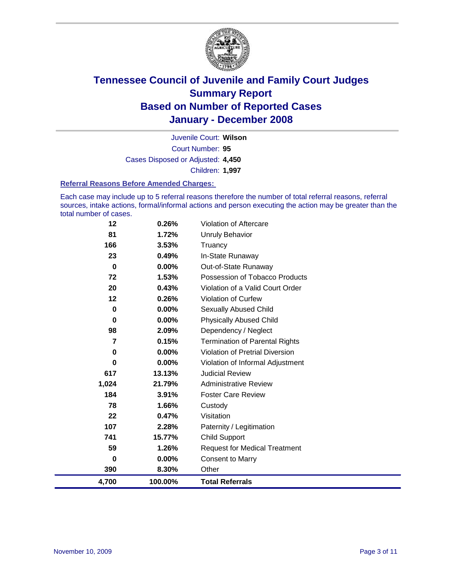

Court Number: **95** Juvenile Court: **Wilson** Cases Disposed or Adjusted: **4,450** Children: **1,997**

#### **Referral Reasons Before Amended Charges:**

Each case may include up to 5 referral reasons therefore the number of total referral reasons, referral sources, intake actions, formal/informal actions and person executing the action may be greater than the total number of cases.

| 4,700       | 100.00%  | <b>Total Referrals</b>                |
|-------------|----------|---------------------------------------|
| 390         | 8.30%    | Other                                 |
| 0           | 0.00%    | <b>Consent to Marry</b>               |
| 59          | 1.26%    | <b>Request for Medical Treatment</b>  |
| 741         | 15.77%   | <b>Child Support</b>                  |
| 107         | 2.28%    | Paternity / Legitimation              |
| 22          | 0.47%    | Visitation                            |
| 78          | 1.66%    | Custody                               |
| 184         | 3.91%    | <b>Foster Care Review</b>             |
| 1,024       | 21.79%   | <b>Administrative Review</b>          |
| 617         | 13.13%   | <b>Judicial Review</b>                |
| 0           | $0.00\%$ | Violation of Informal Adjustment      |
| $\mathbf 0$ | $0.00\%$ | Violation of Pretrial Diversion       |
| 7           | 0.15%    | <b>Termination of Parental Rights</b> |
| 98          | 2.09%    | Dependency / Neglect                  |
| $\bf{0}$    | 0.00%    | <b>Physically Abused Child</b>        |
| $\bf{0}$    | $0.00\%$ | <b>Sexually Abused Child</b>          |
| 12          | 0.26%    | <b>Violation of Curfew</b>            |
| 20          | 0.43%    | Violation of a Valid Court Order      |
| 72          | 1.53%    | Possession of Tobacco Products        |
| $\bf{0}$    | $0.00\%$ | Out-of-State Runaway                  |
| 23          | 0.49%    | In-State Runaway                      |
| 166         | 3.53%    | Truancy                               |
| 81          | 1.72%    | <b>Unruly Behavior</b>                |
| 12          | 0.26%    | Violation of Aftercare                |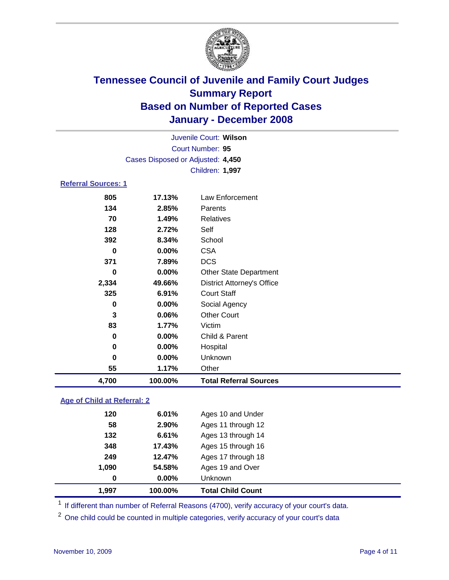

|                            |                                   | Juvenile Court: Wilson |  |  |  |  |  |
|----------------------------|-----------------------------------|------------------------|--|--|--|--|--|
| Court Number: 95           |                                   |                        |  |  |  |  |  |
|                            | Cases Disposed or Adjusted: 4,450 |                        |  |  |  |  |  |
|                            | <b>Children: 1,997</b>            |                        |  |  |  |  |  |
| <b>Referral Sources: 1</b> |                                   |                        |  |  |  |  |  |
| 805                        | 17.13%                            | Law Enforcement        |  |  |  |  |  |

| 4,700 | 100.00%    | <b>Total Referral Sources</b>     |
|-------|------------|-----------------------------------|
| 55    | 1.17%      | Other                             |
| 0     | 0.00%      | Unknown                           |
| 0     | 0.00%      | Hospital                          |
| 0     | 0.00%      | Child & Parent                    |
| 83    | 1.77%      | Victim                            |
| 3     | 0.06%      | <b>Other Court</b>                |
| 0     | 0.00%      | Social Agency                     |
| 325   | 6.91%      | <b>Court Staff</b>                |
| 2,334 | 49.66%     | <b>District Attorney's Office</b> |
| 0     | 0.00%      | <b>Other State Department</b>     |
| 371   | 7.89%      | <b>DCS</b>                        |
| 0     | $0.00\%$   | <b>CSA</b>                        |
| 392   | 8.34%      | School                            |
| 128   | 2.72%      | Self                              |
| 70    | 1.49%      | Relatives                         |
| 134   | 2.85%      | Parents                           |
| uu    | . <i>.</i> | ∟uw ∟…∪ww                         |

#### **Age of Child at Referral: 2**

| 1.997 | 100.00%  | <b>Total Child Count</b> |
|-------|----------|--------------------------|
| 0     | $0.00\%$ | Unknown                  |
| 1,090 | 54.58%   | Ages 19 and Over         |
| 249   | 12.47%   | Ages 17 through 18       |
| 348   | 17.43%   | Ages 15 through 16       |
| 132   | 6.61%    | Ages 13 through 14       |
| 58    | 2.90%    | Ages 11 through 12       |
| 120   | 6.01%    | Ages 10 and Under        |
|       |          |                          |

<sup>1</sup> If different than number of Referral Reasons (4700), verify accuracy of your court's data.

<sup>2</sup> One child could be counted in multiple categories, verify accuracy of your court's data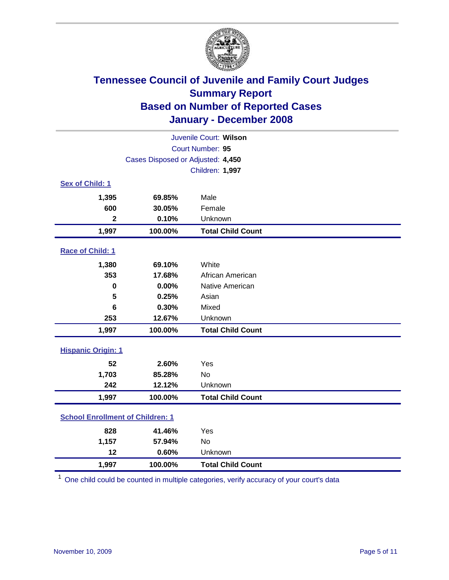

| Juvenile Court: Wilson                  |                                   |                          |  |  |  |
|-----------------------------------------|-----------------------------------|--------------------------|--|--|--|
|                                         | Court Number: 95                  |                          |  |  |  |
|                                         | Cases Disposed or Adjusted: 4,450 |                          |  |  |  |
|                                         |                                   | Children: 1,997          |  |  |  |
| Sex of Child: 1                         |                                   |                          |  |  |  |
| 1,395                                   | 69.85%                            | Male                     |  |  |  |
| 600                                     | 30.05%                            | Female                   |  |  |  |
| $\mathbf{2}$                            | 0.10%                             | Unknown                  |  |  |  |
| 1,997                                   | 100.00%                           | <b>Total Child Count</b> |  |  |  |
| Race of Child: 1                        |                                   |                          |  |  |  |
| 1,380                                   | 69.10%                            | White                    |  |  |  |
| 353                                     | 17.68%                            | African American         |  |  |  |
| $\bf{0}$                                | 0.00%                             | Native American          |  |  |  |
| 5                                       | 0.25%                             | Asian                    |  |  |  |
| 6                                       | 0.30%                             | Mixed                    |  |  |  |
| 253                                     | 12.67%                            | Unknown                  |  |  |  |
| 1,997                                   | 100.00%                           | <b>Total Child Count</b> |  |  |  |
| <b>Hispanic Origin: 1</b>               |                                   |                          |  |  |  |
| 52                                      | 2.60%                             | Yes                      |  |  |  |
| 1,703                                   | 85.28%                            | <b>No</b>                |  |  |  |
| 242                                     | 12.12%                            | Unknown                  |  |  |  |
| 1,997                                   | 100.00%                           | <b>Total Child Count</b> |  |  |  |
| <b>School Enrollment of Children: 1</b> |                                   |                          |  |  |  |
| 828                                     | 41.46%                            | Yes                      |  |  |  |
| 1,157                                   | 57.94%                            | <b>No</b>                |  |  |  |
| 12                                      | 0.60%                             | Unknown                  |  |  |  |
| 1,997                                   | 100.00%                           | <b>Total Child Count</b> |  |  |  |

<sup>1</sup> One child could be counted in multiple categories, verify accuracy of your court's data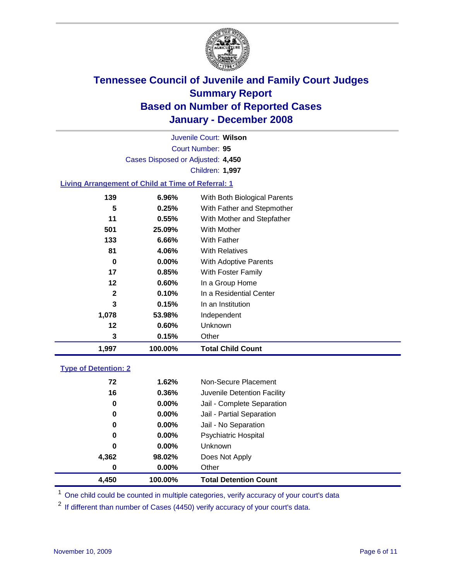

Court Number: **95** Juvenile Court: **Wilson** Cases Disposed or Adjusted: **4,450** Children: **1,997**

#### **Living Arrangement of Child at Time of Referral: 1**

| 1,997        | 100.00%  | <b>Total Child Count</b>     |
|--------------|----------|------------------------------|
| 3            | 0.15%    | Other                        |
| 12           | 0.60%    | Unknown                      |
| 1,078        | 53.98%   | Independent                  |
| 3            | 0.15%    | In an Institution            |
| $\mathbf{2}$ | 0.10%    | In a Residential Center      |
| 12           | 0.60%    | In a Group Home              |
| 17           | 0.85%    | With Foster Family           |
| 0            | $0.00\%$ | With Adoptive Parents        |
| 81           | 4.06%    | <b>With Relatives</b>        |
| 133          | 6.66%    | <b>With Father</b>           |
| 501          | 25.09%   | With Mother                  |
| 11           | $0.55\%$ | With Mother and Stepfather   |
| 5            | 0.25%    | With Father and Stepmother   |
| 139          | 6.96%    | With Both Biological Parents |

#### **Type of Detention: 2**

| 4,450 | 100.00%  | <b>Total Detention Count</b> |  |
|-------|----------|------------------------------|--|
| 0     | $0.00\%$ | Other                        |  |
| 4,362 | 98.02%   | Does Not Apply               |  |
| 0     | $0.00\%$ | <b>Unknown</b>               |  |
| 0     | 0.00%    | <b>Psychiatric Hospital</b>  |  |
| 0     | $0.00\%$ | Jail - No Separation         |  |
| 0     | $0.00\%$ | Jail - Partial Separation    |  |
| 0     | $0.00\%$ | Jail - Complete Separation   |  |
| 16    | 0.36%    | Juvenile Detention Facility  |  |
| 72    | 1.62%    | Non-Secure Placement         |  |
|       |          |                              |  |

<sup>1</sup> One child could be counted in multiple categories, verify accuracy of your court's data

<sup>2</sup> If different than number of Cases (4450) verify accuracy of your court's data.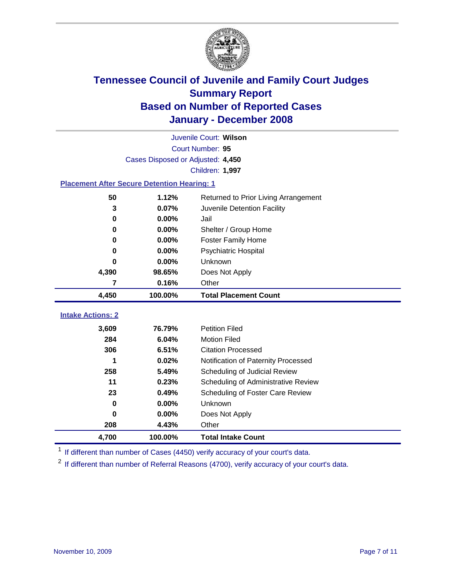

|                                                    | Juvenile Court: Wilson            |                                      |  |  |  |
|----------------------------------------------------|-----------------------------------|--------------------------------------|--|--|--|
| Court Number: 95                                   |                                   |                                      |  |  |  |
|                                                    | Cases Disposed or Adjusted: 4,450 |                                      |  |  |  |
|                                                    |                                   | Children: 1,997                      |  |  |  |
| <b>Placement After Secure Detention Hearing: 1</b> |                                   |                                      |  |  |  |
| 50                                                 | 1.12%                             | Returned to Prior Living Arrangement |  |  |  |
| 3                                                  | 0.07%                             | Juvenile Detention Facility          |  |  |  |
| $\bf{0}$                                           | 0.00%                             | Jail                                 |  |  |  |
| $\bf{0}$                                           | 0.00%                             | Shelter / Group Home                 |  |  |  |
| $\bf{0}$                                           | 0.00%                             | <b>Foster Family Home</b>            |  |  |  |
| 0                                                  | 0.00%                             | Psychiatric Hospital                 |  |  |  |
| 0                                                  | 0.00%                             | Unknown                              |  |  |  |
| 4,390                                              | 98.65%                            | Does Not Apply                       |  |  |  |
| 7                                                  | 0.16%                             | Other                                |  |  |  |
| 4,450                                              | 100.00%                           | <b>Total Placement Count</b>         |  |  |  |
|                                                    |                                   |                                      |  |  |  |
| <b>Intake Actions: 2</b>                           |                                   |                                      |  |  |  |
| 3,609                                              | 76.79%                            | <b>Petition Filed</b>                |  |  |  |
| 284                                                | 6.04%                             | <b>Motion Filed</b>                  |  |  |  |
| 306                                                | 6.51%                             | <b>Citation Processed</b>            |  |  |  |
| 1                                                  | 0.02%                             | Notification of Paternity Processed  |  |  |  |
| 258                                                | 5.49%                             | Scheduling of Judicial Review        |  |  |  |
| 11                                                 | 0.23%                             | Scheduling of Administrative Review  |  |  |  |
| 23                                                 | 0.49%                             | Scheduling of Foster Care Review     |  |  |  |
| $\bf{0}$                                           | 0.00%                             | Unknown                              |  |  |  |
| $\bf{0}$                                           | 0.00%                             | Does Not Apply                       |  |  |  |
| 208                                                | 4.43%                             | Other                                |  |  |  |
| 4,700                                              | 100.00%                           | <b>Total Intake Count</b>            |  |  |  |

<sup>1</sup> If different than number of Cases (4450) verify accuracy of your court's data.

<sup>2</sup> If different than number of Referral Reasons (4700), verify accuracy of your court's data.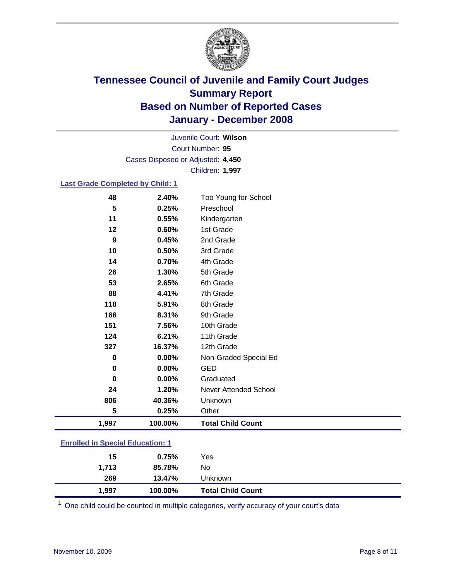

Court Number: **95** Juvenile Court: **Wilson** Cases Disposed or Adjusted: **4,450** Children: **1,997**

#### **Last Grade Completed by Child: 1**

| 1,997    | 100.00% | <b>Total Child Count</b> |
|----------|---------|--------------------------|
| 5        | 0.25%   | Other                    |
| 806      | 40.36%  | Unknown                  |
| 24       | 1.20%   | Never Attended School    |
| $\bf{0}$ | 0.00%   | Graduated                |
| 0        | 0.00%   | <b>GED</b>               |
| 0        | 0.00%   | Non-Graded Special Ed    |
| 327      | 16.37%  | 12th Grade               |
| 124      | 6.21%   | 11th Grade               |
| 151      | 7.56%   | 10th Grade               |
| 166      | 8.31%   | 9th Grade                |
| 118      | 5.91%   | 8th Grade                |
| 88       | 4.41%   | 7th Grade                |
| 53       | 2.65%   | 6th Grade                |
| 26       | 1.30%   | 5th Grade                |
| 14       | 0.70%   | 4th Grade                |
| 10       | 0.50%   | 3rd Grade                |
| 9        | 0.45%   | 2nd Grade                |
| 12       | 0.60%   | 1st Grade                |
| 11       | 0.55%   | Kindergarten             |
| 5        | 0.25%   | Preschool                |
| 48       | 2.40%   | Too Young for School     |

### **Enrolled in Special Education: 1**

| 1,713 | 85.78%  | No                       |  |
|-------|---------|--------------------------|--|
| 269   | 13.47%  | Unknown                  |  |
| 1,997 | 100.00% | <b>Total Child Count</b> |  |

<sup>1</sup> One child could be counted in multiple categories, verify accuracy of your court's data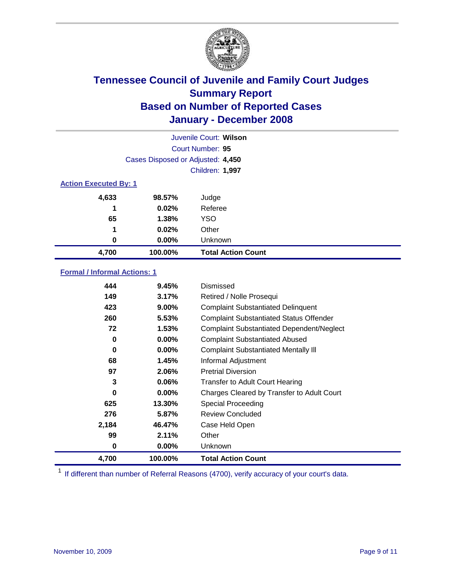

|                              |                                   | Juvenile Court: Wilson    |  |  |  |
|------------------------------|-----------------------------------|---------------------------|--|--|--|
|                              | Court Number: 95                  |                           |  |  |  |
|                              | Cases Disposed or Adjusted: 4,450 |                           |  |  |  |
|                              |                                   | Children: 1,997           |  |  |  |
| <b>Action Executed By: 1</b> |                                   |                           |  |  |  |
| 4,633                        | 98.57%                            | Judge                     |  |  |  |
| 1                            | 0.02%                             | Referee                   |  |  |  |
| 65                           | 1.38%                             | <b>YSO</b>                |  |  |  |
| 1                            | 0.02%                             | Other                     |  |  |  |
| $\bf{0}$                     | $0.00\%$                          | Unknown                   |  |  |  |
| 4,700                        | 100.00%                           | <b>Total Action Count</b> |  |  |  |

### **Formal / Informal Actions: 1**

| 444   | 9.45%    | Dismissed                                        |
|-------|----------|--------------------------------------------------|
| 149   | 3.17%    | Retired / Nolle Prosequi                         |
| 423   | 9.00%    | <b>Complaint Substantiated Delinquent</b>        |
| 260   | 5.53%    | <b>Complaint Substantiated Status Offender</b>   |
| 72    | 1.53%    | <b>Complaint Substantiated Dependent/Neglect</b> |
| 0     | 0.00%    | <b>Complaint Substantiated Abused</b>            |
| 0     | 0.00%    | <b>Complaint Substantiated Mentally III</b>      |
| 68    | 1.45%    | Informal Adjustment                              |
| 97    | 2.06%    | <b>Pretrial Diversion</b>                        |
| 3     | $0.06\%$ | <b>Transfer to Adult Court Hearing</b>           |
| 0     | $0.00\%$ | Charges Cleared by Transfer to Adult Court       |
| 625   | 13.30%   | Special Proceeding                               |
| 276   | 5.87%    | <b>Review Concluded</b>                          |
| 2,184 | 46.47%   | Case Held Open                                   |
| 99    | 2.11%    | Other                                            |
| 0     | $0.00\%$ | Unknown                                          |
| 4,700 | 100.00%  | <b>Total Action Count</b>                        |

<sup>1</sup> If different than number of Referral Reasons (4700), verify accuracy of your court's data.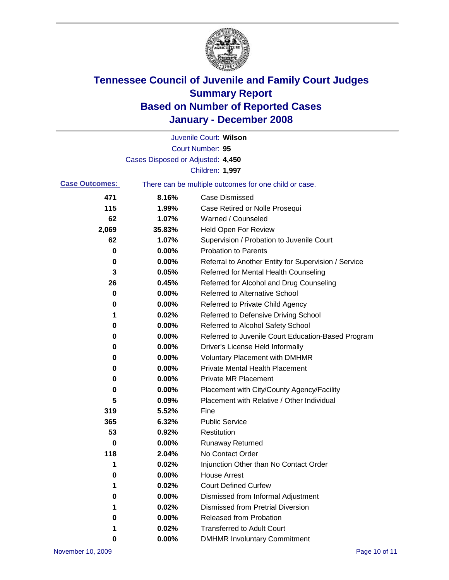

|                       |                                   | Juvenile Court: Wilson                                |
|-----------------------|-----------------------------------|-------------------------------------------------------|
|                       |                                   | Court Number: 95                                      |
|                       | Cases Disposed or Adjusted: 4,450 |                                                       |
|                       |                                   | Children: 1,997                                       |
| <b>Case Outcomes:</b> |                                   | There can be multiple outcomes for one child or case. |
| 471                   | 8.16%                             | <b>Case Dismissed</b>                                 |
| 115                   | 1.99%                             | Case Retired or Nolle Prosequi                        |
| 62                    | 1.07%                             | Warned / Counseled                                    |
| 2,069                 | 35.83%                            | Held Open For Review                                  |
| 62                    | 1.07%                             | Supervision / Probation to Juvenile Court             |
| 0                     | 0.00%                             | <b>Probation to Parents</b>                           |
| 0                     | 0.00%                             | Referral to Another Entity for Supervision / Service  |
| 3                     | 0.05%                             | Referred for Mental Health Counseling                 |
| 26                    | 0.45%                             | Referred for Alcohol and Drug Counseling              |
| 0                     | 0.00%                             | <b>Referred to Alternative School</b>                 |
| 0                     | 0.00%                             | Referred to Private Child Agency                      |
| 1                     | 0.02%                             | Referred to Defensive Driving School                  |
| 0                     | 0.00%                             | Referred to Alcohol Safety School                     |
| 0                     | 0.00%                             | Referred to Juvenile Court Education-Based Program    |
| 0                     | 0.00%                             | Driver's License Held Informally                      |
| 0                     | 0.00%                             | <b>Voluntary Placement with DMHMR</b>                 |
| 0                     | 0.00%                             | <b>Private Mental Health Placement</b>                |
| 0                     | 0.00%                             | <b>Private MR Placement</b>                           |
| 0                     | 0.00%                             | Placement with City/County Agency/Facility            |
| 5                     | 0.09%                             | Placement with Relative / Other Individual            |
| 319                   | 5.52%                             | Fine                                                  |
| 365                   | 6.32%                             | <b>Public Service</b>                                 |
| 53                    | 0.92%                             | Restitution                                           |
| 0                     | 0.00%                             | <b>Runaway Returned</b>                               |
| 118                   | 2.04%                             | No Contact Order                                      |
| 1                     | 0.02%                             | Injunction Other than No Contact Order                |
| 0                     | 0.00%                             | <b>House Arrest</b>                                   |
| 1                     | 0.02%                             | <b>Court Defined Curfew</b>                           |
| 0                     | 0.00%                             | Dismissed from Informal Adjustment                    |
| 1                     | 0.02%                             | <b>Dismissed from Pretrial Diversion</b>              |
| 0                     | 0.00%                             | <b>Released from Probation</b>                        |
|                       | 0.02%                             | <b>Transferred to Adult Court</b>                     |
| 0                     | 0.00%                             | <b>DMHMR Involuntary Commitment</b>                   |